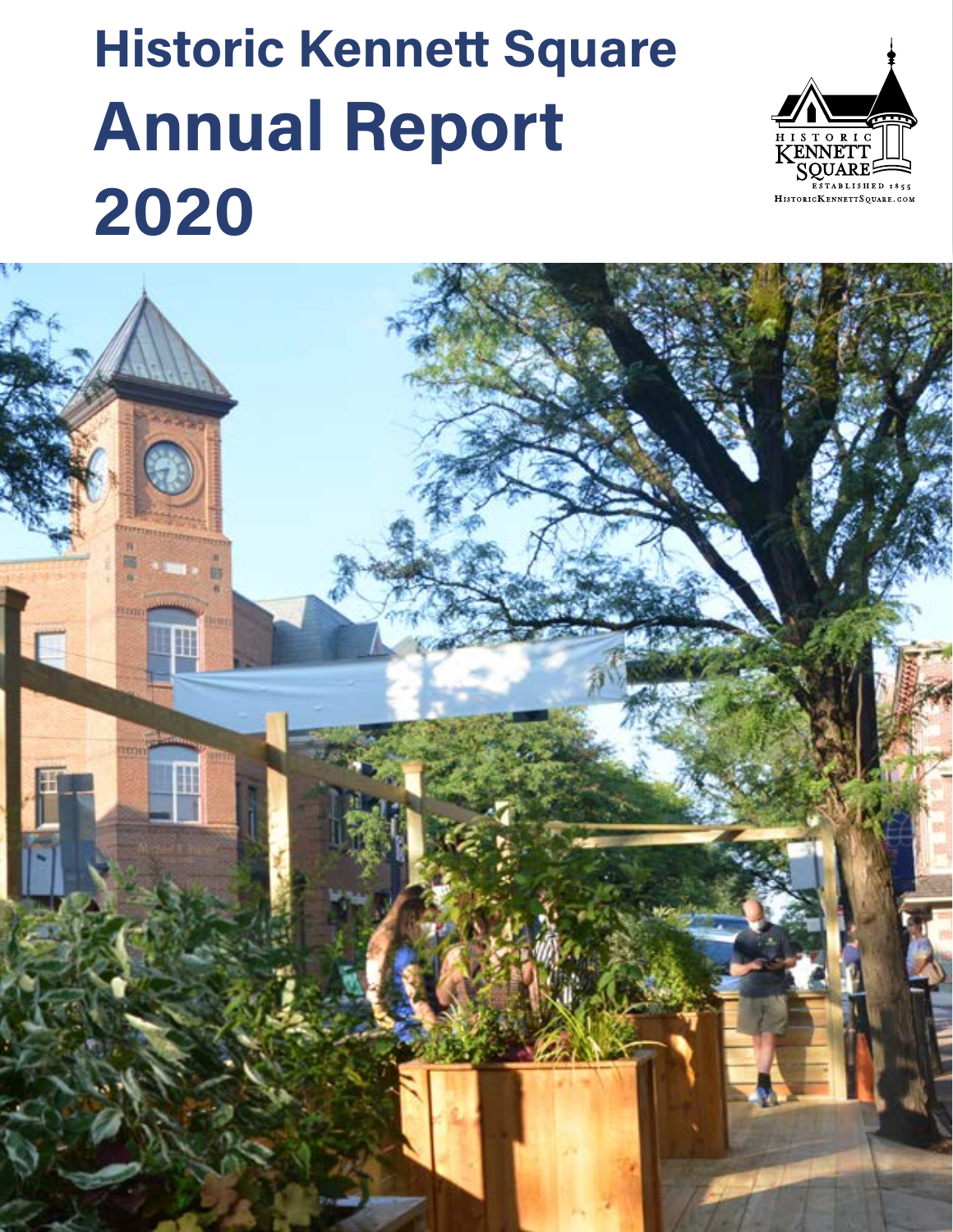## **Historic Kennett Square Annual Report 2020**



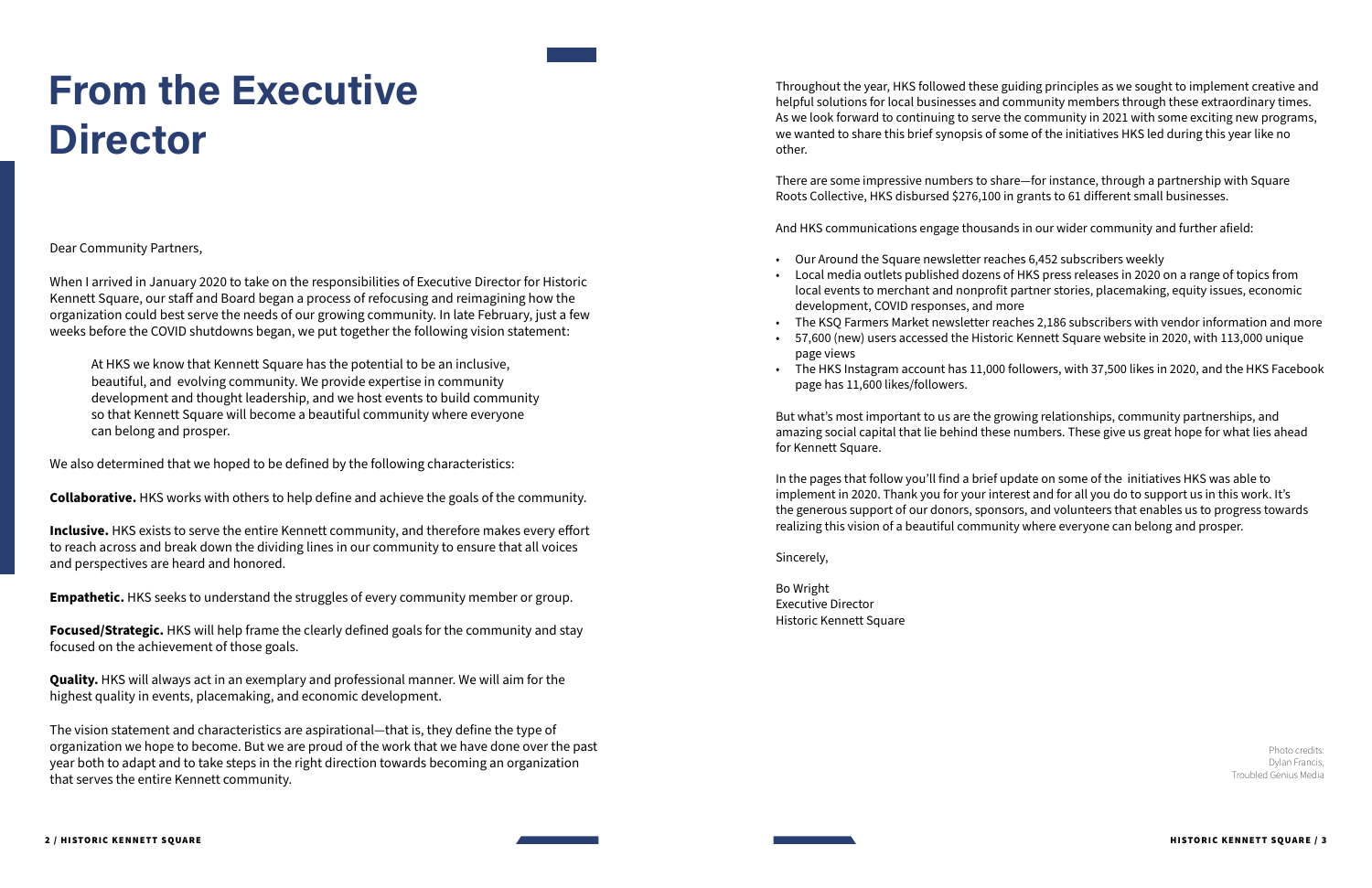Dear Community Partners,

When I arrived in January 2020 to take on the responsibilities of Executive Director for Historic Kennett Square, our staff and Board began a process of refocusing and reimagining how the organization could best serve the needs of our growing community. In late February, just a few weeks before the COVID shutdowns began, we put together the following vision statement:

At HKS we know that Kennett Square has the potential to be an inclusive, beautiful, and evolving community. We provide expertise in community development and thought leadership, and we host events to build community so that Kennett Square will become a beautiful community where everyone can belong and prosper.

We also determined that we hoped to be defined by the following characteristics:

**Collaborative.** HKS works with others to help define and achieve the goals of the community.

**Inclusive.** HKS exists to serve the entire Kennett community, and therefore makes every effort to reach across and break down the dividing lines in our community to ensure that all voices and perspectives are heard and honored.

**Empathetic.** HKS seeks to understand the struggles of every community member or group.

**Focused/Strategic.** HKS will help frame the clearly defined goals for the community and stay focused on the achievement of those goals.

**Quality.** HKS will always act in an exemplary and professional manner. We will aim for the highest quality in events, placemaking, and economic development.

The vision statement and characteristics are aspirational—that is, they define the type of organization we hope to become. But we are proud of the work that we have done over the past year both to adapt and to take steps in the right direction towards becoming an organization that serves the entire Kennett community.

## **From the Executive Director**

Photo credits: Dylan Francis, Troubled Genius Media

Throughout the year, HKS followed these guiding principles as we sought to implement creative and helpful solutions for local businesses and community members through these extraordinary times. As we look forward to continuing to serve the community in 2021 with some exciting new programs, we wanted to share this brief synopsis of some of the initiatives HKS led during this year like no other.

There are some impressive numbers to share—for instance, through a partnership with Square Roots Collective, HKS disbursed \$276,100 in grants to 61 different small businesses.

And HKS communications engage thousands in our wider community and further afield:

• Local media outlets published dozens of HKS press releases in 2020 on a range of topics from local events to merchant and nonprofit partner stories, placemaking, equity issues, economic

- Our Around the Square newsletter reaches 6,452 subscribers weekly
- development, COVID responses, and more
- 
- page views
- page has 11,600 likes/followers.

• The KSQ Farmers Market newsletter reaches 2,186 subscribers with vendor information and more • 57,600 (new) users accessed the Historic Kennett Square website in 2020, with 113,000 unique

• The HKS Instagram account has 11,000 followers, with 37,500 likes in 2020, and the HKS Facebook

But what's most important to us are the growing relationships, community partnerships, and amazing social capital that lie behind these numbers. These give us great hope for what lies ahead for Kennett Square.

In the pages that follow you'll find a brief update on some of the initiatives HKS was able to implement in 2020. Thank you for your interest and for all you do to support us in this work. It's the generous support of our donors, sponsors, and volunteers that enables us to progress towards realizing this vision of a beautiful community where everyone can belong and prosper.

Sincerely,

Bo Wright Executive Director Historic Kennett Square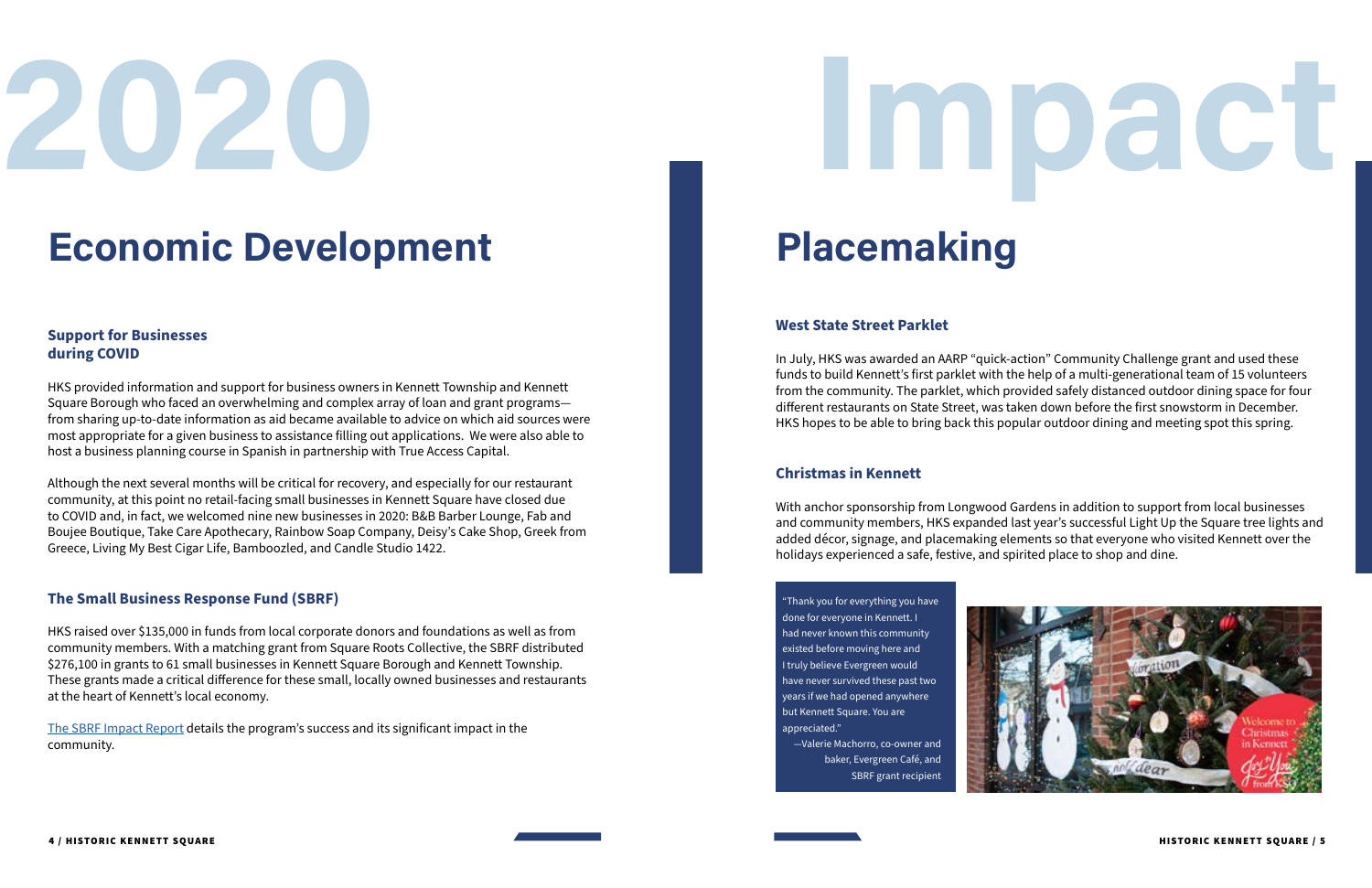## **Economic Development**

### **Support for Businesses during COVID**

HKS provided information and support for business owners in Kennett Township and Kennett Square Borough who faced an overwhelming and complex array of loan and grant programs from sharing up-to-date information as aid became available to advice on which aid sources were most appropriate for a given business to assistance filling out applications. We were also able to host a business planning course in Spanish in partnership with True Access Capital.

Although the next several months will be critical for recovery, and especially for our restaurant community, at this point no retail-facing small businesses in Kennett Square have closed due to COVID and, in fact, we welcomed nine new businesses in 2020: B&B Barber Lounge, Fab and Boujee Boutique, Take Care Apothecary, Rainbow Soap Company, Deisy's Cake Shop, Greek from Greece, Living My Best Cigar Life, Bamboozled, and Candle Studio 1422.

#### **The Small Business Response Fund (SBRF)**

HKS raised over \$135,000 in funds from local corporate donors and foundations as well as from community members. With a matching grant from Square Roots Collective, the SBRF distributed \$276,100 in grants to 61 small businesses in Kennett Square Borough and Kennett Township. These grants made a critical difference for these small, locally owned businesses and restaurants at the heart of Kennett's local economy.

[The SBRF Impact Report](https://historickennettsquare.com/wp-content/uploads/2020/10/SBRF-Impact-Report-final-10-20.pdf) details the program's success and its significant impact in the community.

## **2020**

## **Placemaking**

#### **West State Street Parklet**

In July, HKS was awarded an AARP "quick-action" Community Challenge grant and used these funds to build Kennett's first parklet with the help of a multi-generational team of 15 volunteers from the community. The parklet, which provided safely distanced outdoor dining space for four different restaurants on State Street, was taken down before the first snowstorm in December. HKS hopes to be able to bring back this popular outdoor dining and meeting spot this spring.

#### **Christmas in Kennett**

With anchor sponsorship from Longwood Gardens in addition to support from local businesses and community members, HKS expanded last year's successful Light Up the Square tree lights and added décor, signage, and placemaking elements so that everyone who visited Kennett over the holidays experienced a safe, festive, and spirited place to shop and dine.







"Thank you for everything you have done for everyone in Kennett. I had never known this community existed before moving here and I truly believe Evergreen would have never survived these past two years if we had opened anywhere but Kennett Square. You are appreciated."

—Valerie Machorro, co-owner and baker, Evergreen Café, and SBRF grant recipient

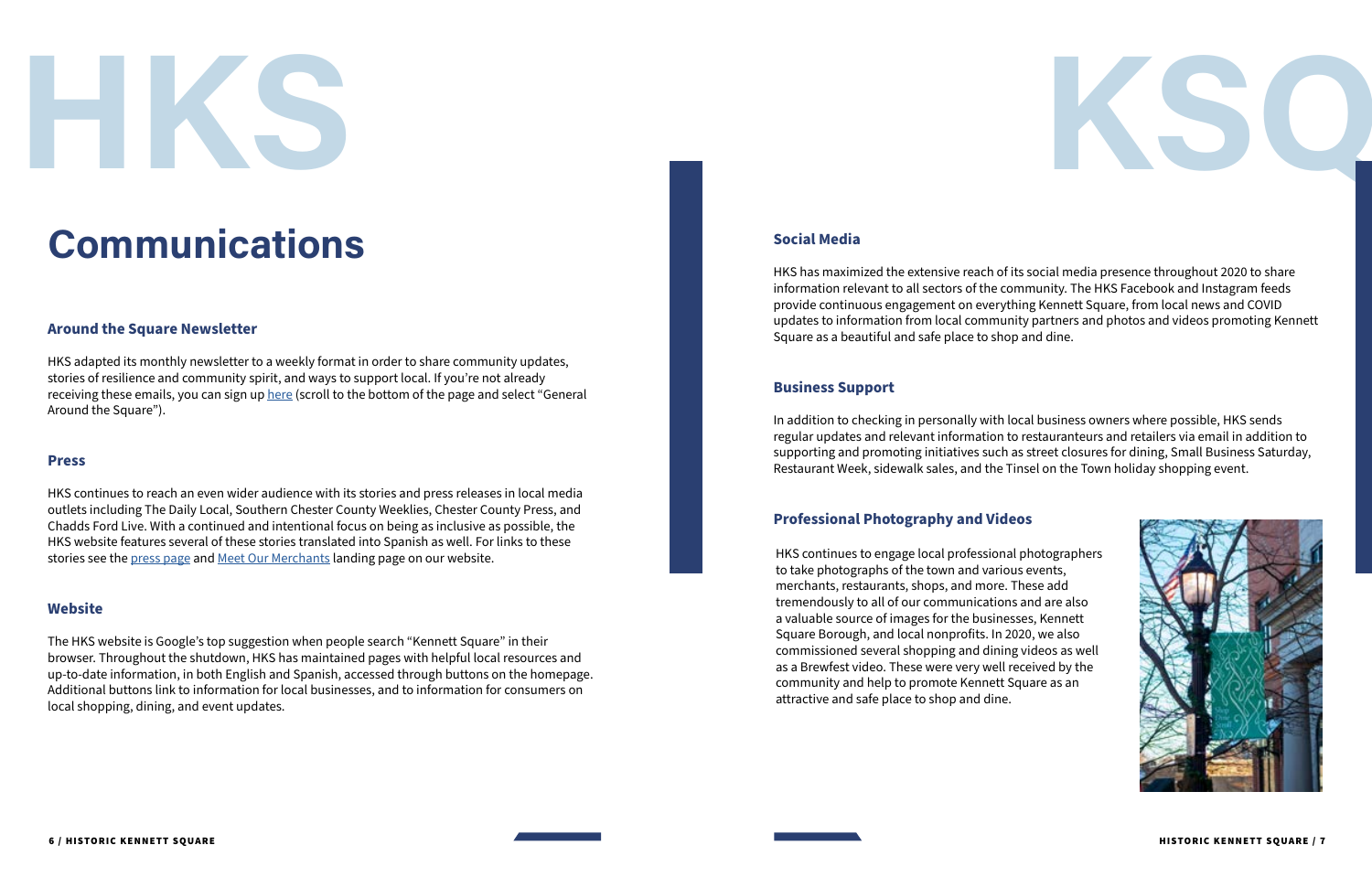#### **Social Media**

HKS has maximized the extensive reach of its social media presence throughout 2020 to share information relevant to all sectors of the community. The HKS Facebook and Instagram feeds provide continuous engagement on everything Kennett Square, from local news and COVID updates to information from local community partners and photos and videos promoting Kennett Square as a beautiful and safe place to shop and dine.

#### **Business Support**

HKS continues to reach an even wider audience with its stories and press releases in local media outlets including The Daily Local, Southern Chester County Weeklies, Chester County Press, and Chadds Ford Live. With a continued and intentional focus on being as inclusive as possible, the HKS website features several of these stories translated into Spanish as well. For links to these stories see the [press page](https://historickennettsquare.com/press/) and [Meet Our Merchants](https://historickennettsquare.com/meet-our-merchants/) landing page on our website.

In addition to checking in personally with local business owners where possible, HKS sends regular updates and relevant information to restauranteurs and retailers via email in addition to supporting and promoting initiatives such as street closures for dining, Small Business Saturday, Restaurant Week, sidewalk sales, and the Tinsel on the Town holiday shopping event.

### **Professional Photography and Videos**

## **Communications**

#### **Around the Square Newsletter**

HKS adapted its monthly newsletter to a weekly format in order to share community updates, stories of resilience and community spirit, and ways to support local. If you're not already receiving these emails, you can sign up [here](https://historickennettsquare.com) (scroll to the bottom of the page and select "General Around the Square").

#### **Press**

#### **Website**

The HKS website is Google's top suggestion when people search "Kennett Square" in their browser. Throughout the shutdown, HKS has maintained pages with helpful local resources and up-to-date information, in both English and Spanish, accessed through buttons on the homepage. Additional buttons link to information for local businesses, and to information for consumers on local shopping, dining, and event updates.





HKS continues to engage local professional photographers to take photographs of the town and various events, merchants, restaurants, shops, and more. These add tremendously to all of our communications and are also a valuable source of images for the businesses, Kennett Square Borough, and local nonprofits. In 2020, we also commissioned several shopping and dining videos as well as a Brewfest video. These were very well received by the community and help to promote Kennett Square as an attractive and safe place to shop and dine.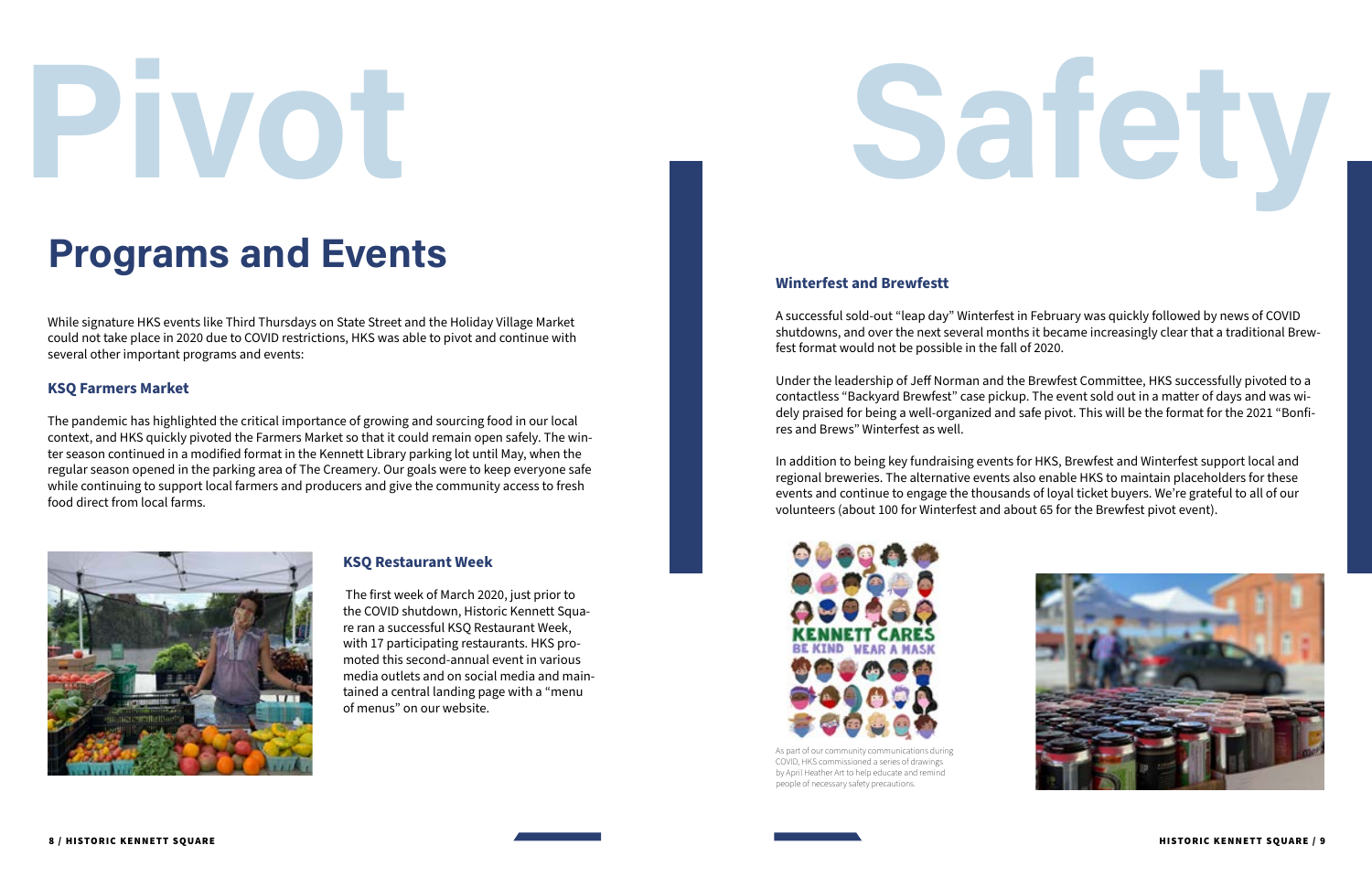### **Programs and Events**

# **Pivot**

#### **Winterfest and Brewfestt**

A successful sold-out "leap day" Winterfest in February was quickly followed by news of COVID shutdowns, and over the next several months it became increasingly clear that a traditional Brewfest format would not be possible in the fall of 2020.

Under the leadership of Jeff Norman and the Brewfest Committee, HKS successfully pivoted to a contactless "Backyard Brewfest" case pickup. The event sold out in a matter of days and was widely praised for being a well-organized and safe pivot. This will be the format for the 2021 "Bonfires and Brews" Winterfest as well.

In addition to being key fundraising events for HKS, Brewfest and Winterfest support local and regional breweries. The alternative events also enable HKS to maintain placeholders for these events and continue to engage the thousands of loyal ticket buyers. We're grateful to all of our volunteers (about 100 for Winterfest and about 65 for the Brewfest pivot event).

# **Safety**



While signature HKS events like Third Thursdays on State Street and the Holiday Village Market could not take place in 2020 due to COVID restrictions, HKS was able to pivot and continue with several other important programs and events:



As part of our community communications during COVID, HKS commissioned a series of drawings by April Heather Art to help educate and remind people of necessary safety precautions.

#### **KSQ Farmers Market**

The pandemic has highlighted the critical importance of growing and sourcing food in our local context, and HKS quickly pivoted the Farmers Market so that it could remain open safely. The winter season continued in a modified format in the Kennett Library parking lot until May, when the regular season opened in the parking area of The Creamery. Our goals were to keep everyone safe while continuing to support local farmers and producers and give the community access to fresh food direct from local farms.



#### **KSQ Restaurant Week**

 The first week of March 2020, just prior to the COVID shutdown, Historic Kennett Square ran a successful KSQ Restaurant Week, with 17 participating restaurants. HKS promoted this second-annual event in various media outlets and on social media and maintained a central landing page with a "menu of menus" on our website.